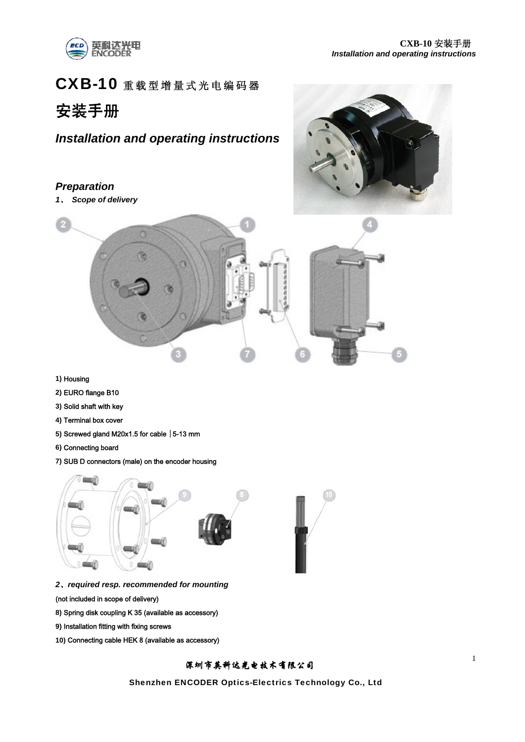

# CXB-10 重载型增量式光电编码器

# 安装手册

# *Installation and operating instructions*

## *Preparation*

*1*、 *Scope of delivery* 





- **1)** Housing
- **2)** EURO flange B10
- **3)** Solid shaft with key
- **4)** Terminal box cover
- 5) Screwed gland M20x1.5 for cable  $|$  5-13 mm
- **6)** Connecting board
- **7)** SUB D connectors (male) on the encoder housing



- *2*、*required resp. recommended for mounting*
- (not included in scope of delivery)
- **8)** Spring disk coupling K 35 (available as accessory)
- **9)** Installation fitting with fixing screws
- **10)** Connecting cable HEK 8 (available as accessory)

# 深圳市英科达光电技术有限公司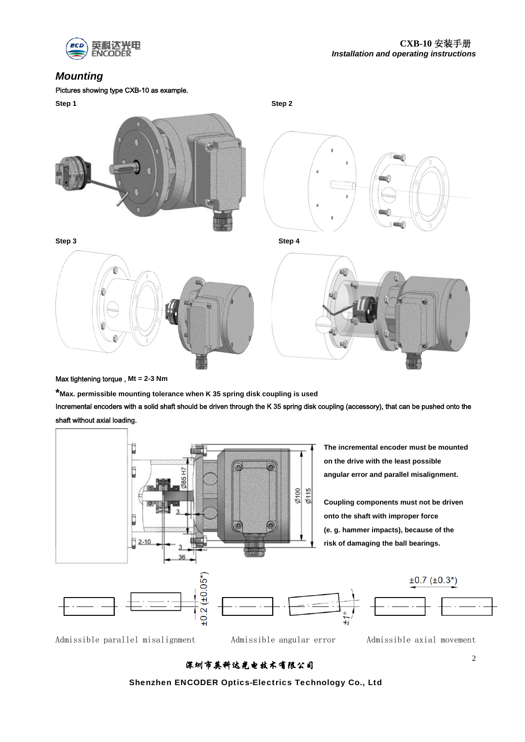

# *Mounting*

#### Pictures showing type CXB-10 as example.



#### Max tightening torque , **Mt = 2-3 Nm**

**\*Max. permissible mounting tolerance when K 35 spring disk coupling is used** 

Incremental encoders with a solid shaft should be driven through the K 35 spring disk coupling (accessory), that can be pushed onto the shaft without axial loading.

![](_page_1_Figure_8.jpeg)

Admissible parallel misalignment Admissible angular error Admissible axial movement

# 深圳市英科达光电技术有限公司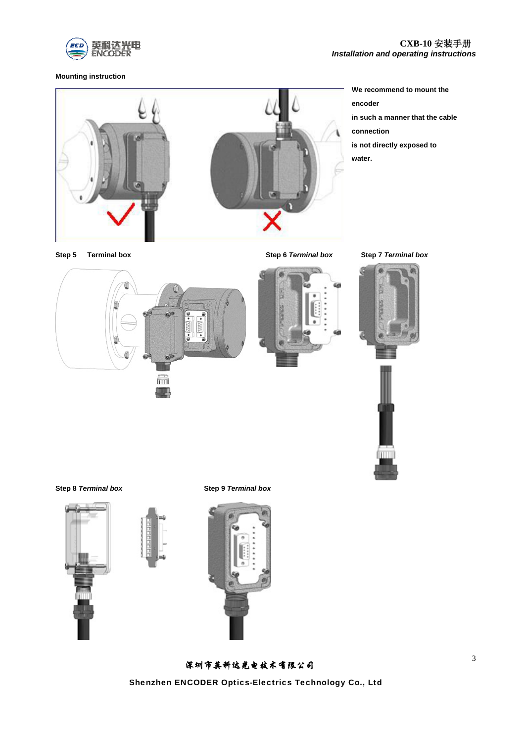![](_page_2_Picture_0.jpeg)

**Mounting instruction** 

![](_page_2_Picture_3.jpeg)

**We recommend to mount the encoder in such a manner that the cable connection is not directly exposed to water.** 

**Step 5****Terminal box Step 6** *Terminal box* **Step 7** *Terminal box*

![](_page_2_Picture_6.jpeg)

![](_page_2_Picture_8.jpeg)

![](_page_2_Picture_9.jpeg)

![](_page_2_Picture_10.jpeg)

![](_page_2_Picture_12.jpeg)

深圳市英科达光电技术有限公司